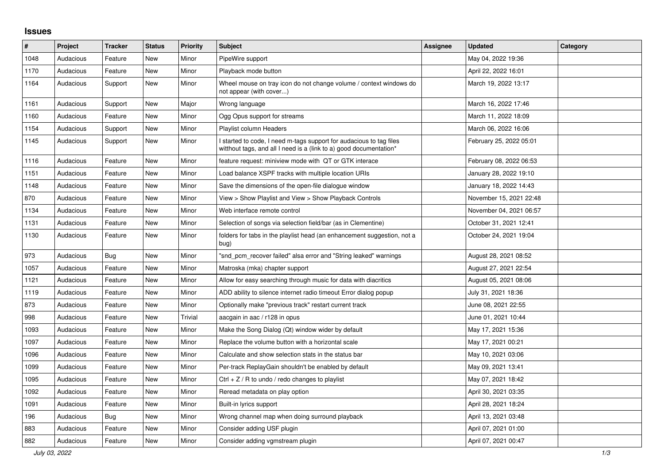## **Issues**

| $\#$ | <b>Project</b> | <b>Tracker</b> | <b>Status</b> | <b>Priority</b> | <b>Subject</b>                                                                                                                            | Assignee | <b>Updated</b>          | Category |
|------|----------------|----------------|---------------|-----------------|-------------------------------------------------------------------------------------------------------------------------------------------|----------|-------------------------|----------|
| 1048 | Audacious      | Feature        | <b>New</b>    | Minor           | PipeWire support                                                                                                                          |          | May 04, 2022 19:36      |          |
| 1170 | Audacious      | Feature        | New           | Minor           | Playback mode button                                                                                                                      |          | April 22, 2022 16:01    |          |
| 1164 | Audacious      | Support        | New           | Minor           | Wheel mouse on tray icon do not change volume / context windows do<br>not appear (with cover)                                             |          | March 19, 2022 13:17    |          |
| 1161 | Audacious      | Support        | <b>New</b>    | Major           | Wrong language                                                                                                                            |          | March 16, 2022 17:46    |          |
| 1160 | Audacious      | Feature        | New           | Minor           | Ogg Opus support for streams                                                                                                              |          | March 11, 2022 18:09    |          |
| 1154 | Audacious      | Support        | New           | Minor           | Playlist column Headers                                                                                                                   |          | March 06, 2022 16:06    |          |
| 1145 | Audacious      | Support        | New           | Minor           | I started to code, I need m-tags support for audacious to tag files<br>witthout tags, and all I need is a (link to a) good documentation* |          | February 25, 2022 05:01 |          |
| 1116 | Audacious      | Feature        | New           | Minor           | feature request: miniview mode with QT or GTK interace                                                                                    |          | February 08, 2022 06:53 |          |
| 1151 | Audacious      | Feature        | New           | Minor           | Load balance XSPF tracks with multiple location URIs                                                                                      |          | January 28, 2022 19:10  |          |
| 1148 | Audacious      | Feature        | New           | Minor           | Save the dimensions of the open-file dialogue window                                                                                      |          | January 18, 2022 14:43  |          |
| 870  | Audacious      | Feature        | New           | Minor           | View > Show Playlist and View > Show Playback Controls                                                                                    |          | November 15, 2021 22:48 |          |
| 1134 | Audacious      | Feature        | <b>New</b>    | Minor           | Web interface remote control                                                                                                              |          | November 04, 2021 06:57 |          |
| 1131 | Audacious      | Feature        | New           | Minor           | Selection of songs via selection field/bar (as in Clementine)                                                                             |          | October 31, 2021 12:41  |          |
| 1130 | Audacious      | Feature        | New           | Minor           | folders for tabs in the playlist head (an enhancement suggestion, not a<br>bug)                                                           |          | October 24, 2021 19:04  |          |
| 973  | Audacious      | Bug            | New           | Minor           | "snd_pcm_recover failed" alsa error and "String leaked" warnings                                                                          |          | August 28, 2021 08:52   |          |
| 1057 | Audacious      | Feature        | New           | Minor           | Matroska (mka) chapter support                                                                                                            |          | August 27, 2021 22:54   |          |
| 1121 | Audacious      | Feature        | New           | Minor           | Allow for easy searching through music for data with diacritics                                                                           |          | August 05, 2021 08:06   |          |
| 1119 | Audacious      | Feature        | New           | Minor           | ADD ability to silence internet radio timeout Error dialog popup                                                                          |          | July 31, 2021 18:36     |          |
| 873  | Audacious      | Feature        | <b>New</b>    | Minor           | Optionally make "previous track" restart current track                                                                                    |          | June 08, 2021 22:55     |          |
| 998  | Audacious      | Feature        | <b>New</b>    | Trivial         | aacgain in aac / r128 in opus                                                                                                             |          | June 01, 2021 10:44     |          |
| 1093 | Audacious      | Feature        | New           | Minor           | Make the Song Dialog (Qt) window wider by default                                                                                         |          | May 17, 2021 15:36      |          |
| 1097 | Audacious      | Feature        | New           | Minor           | Replace the volume button with a horizontal scale                                                                                         |          | May 17, 2021 00:21      |          |
| 1096 | Audacious      | Feature        | New           | Minor           | Calculate and show selection stats in the status bar                                                                                      |          | May 10, 2021 03:06      |          |
| 1099 | Audacious      | Feature        | <b>New</b>    | Minor           | Per-track ReplayGain shouldn't be enabled by default                                                                                      |          | May 09, 2021 13:41      |          |
| 1095 | Audacious      | Feature        | New           | Minor           | Ctrl + $Z$ / R to undo / redo changes to playlist                                                                                         |          | May 07, 2021 18:42      |          |
| 1092 | Audacious      | Feature        | New           | Minor           | Reread metadata on play option                                                                                                            |          | April 30, 2021 03:35    |          |
| 1091 | Audacious      | Feature        | New           | Minor           | Built-in lyrics support                                                                                                                   |          | April 28, 2021 18:24    |          |
| 196  | Audacious      | Bug            | New           | Minor           | Wrong channel map when doing surround playback                                                                                            |          | April 13, 2021 03:48    |          |
| 883  | Audacious      | Feature        | New           | Minor           | Consider adding USF plugin                                                                                                                |          | April 07, 2021 01:00    |          |
| 882  | Audacious      | Feature        | New           | Minor           | Consider adding vgmstream plugin                                                                                                          |          | April 07, 2021 00:47    |          |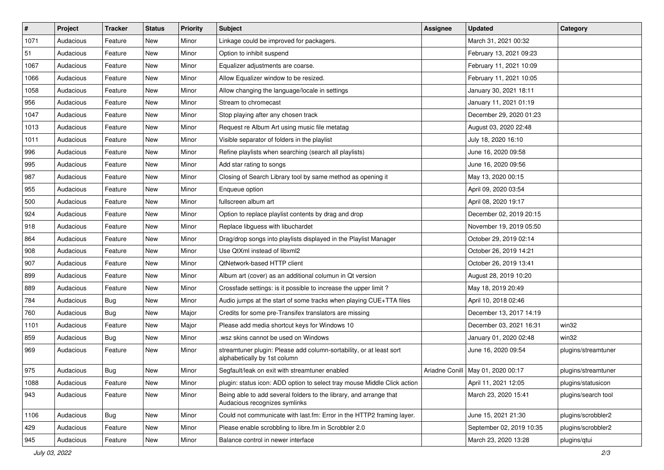| $\vert$ # | Project   | <b>Tracker</b> | <b>Status</b> | <b>Priority</b> | <b>Subject</b>                                                                                      | <b>Assignee</b> | <b>Updated</b>                      | Category            |
|-----------|-----------|----------------|---------------|-----------------|-----------------------------------------------------------------------------------------------------|-----------------|-------------------------------------|---------------------|
| 1071      | Audacious | Feature        | New           | Minor           | Linkage could be improved for packagers.                                                            |                 | March 31, 2021 00:32                |                     |
| 51        | Audacious | Feature        | New           | Minor           | Option to inhibit suspend                                                                           |                 | February 13, 2021 09:23             |                     |
| 1067      | Audacious | Feature        | New           | Minor           | Equalizer adjustments are coarse.                                                                   |                 | February 11, 2021 10:09             |                     |
| 1066      | Audacious | Feature        | New           | Minor           | Allow Equalizer window to be resized.                                                               |                 | February 11, 2021 10:05             |                     |
| 1058      | Audacious | Feature        | New           | Minor           | Allow changing the language/locale in settings                                                      |                 | January 30, 2021 18:11              |                     |
| 956       | Audacious | Feature        | New           | Minor           | Stream to chromecast                                                                                |                 | January 11, 2021 01:19              |                     |
| 1047      | Audacious | Feature        | New           | Minor           | Stop playing after any chosen track                                                                 |                 | December 29, 2020 01:23             |                     |
| 1013      | Audacious | Feature        | New           | Minor           | Request re Album Art using music file metatag                                                       |                 | August 03, 2020 22:48               |                     |
| 1011      | Audacious | Feature        | New           | Minor           | Visible separator of folders in the playlist                                                        |                 | July 18, 2020 16:10                 |                     |
| 996       | Audacious | Feature        | New           | Minor           | Refine playlists when searching (search all playlists)                                              |                 | June 16, 2020 09:58                 |                     |
| 995       | Audacious | Feature        | New           | Minor           | Add star rating to songs                                                                            |                 | June 16, 2020 09:56                 |                     |
| 987       | Audacious | Feature        | New           | Minor           | Closing of Search Library tool by same method as opening it                                         |                 | May 13, 2020 00:15                  |                     |
| 955       | Audacious | Feature        | New           | Minor           | Enqueue option                                                                                      |                 | April 09, 2020 03:54                |                     |
| 500       | Audacious | Feature        | New           | Minor           | fullscreen album art                                                                                |                 | April 08, 2020 19:17                |                     |
| 924       | Audacious | Feature        | New           | Minor           | Option to replace playlist contents by drag and drop                                                |                 | December 02, 2019 20:15             |                     |
| 918       | Audacious | Feature        | New           | Minor           | Replace libguess with libuchardet                                                                   |                 | November 19, 2019 05:50             |                     |
| 864       | Audacious | Feature        | New           | Minor           | Drag/drop songs into playlists displayed in the Playlist Manager                                    |                 | October 29, 2019 02:14              |                     |
| 908       | Audacious | Feature        | New           | Minor           | Use QtXml instead of libxml2                                                                        |                 | October 26, 2019 14:21              |                     |
| 907       | Audacious | Feature        | New           | Minor           | QtNetwork-based HTTP client                                                                         |                 | October 26, 2019 13:41              |                     |
| 899       | Audacious | Feature        | New           | Minor           | Album art (cover) as an additional columun in Qt version                                            |                 | August 28, 2019 10:20               |                     |
| 889       | Audacious | Feature        | New           | Minor           | Crossfade settings: is it possible to increase the upper limit?                                     |                 | May 18, 2019 20:49                  |                     |
| 784       | Audacious | <b>Bug</b>     | New           | Minor           | Audio jumps at the start of some tracks when playing CUE+TTA files                                  |                 | April 10, 2018 02:46                |                     |
| 760       | Audacious | <b>Bug</b>     | New           | Major           | Credits for some pre-Transifex translators are missing                                              |                 | December 13, 2017 14:19             |                     |
| 1101      | Audacious | Feature        | New           | Major           | Please add media shortcut keys for Windows 10                                                       |                 | December 03, 2021 16:31             | win32               |
| 859       | Audacious | <b>Bug</b>     | New           | Minor           | .wsz skins cannot be used on Windows                                                                |                 | January 01, 2020 02:48              | win32               |
| 969       | Audacious | Feature        | New           | Minor           | streamtuner plugin: Please add column-sortability, or at least sort<br>alphabetically by 1st column |                 | June 16, 2020 09:54                 | plugins/streamtuner |
| 975       | Audacious | <b>Bug</b>     | New           | Minor           | Segfault/leak on exit with streamtuner enabled                                                      |                 | Ariadne Conill   May 01, 2020 00:17 | plugins/streamtuner |
| 1088      | Audacious | Feature        | New           | Minor           | plugin: status icon: ADD option to select tray mouse Middle Click action                            |                 | April 11, 2021 12:05                | plugins/statusicon  |
| 943       | Audacious | Feature        | New           | Minor           | Being able to add several folders to the library, and arrange that<br>Audacious recognizes symlinks |                 | March 23, 2020 15:41                | plugins/search tool |
| 1106      | Audacious | Bug            | New           | Minor           | Could not communicate with last.fm: Error in the HTTP2 framing layer.                               |                 | June 15, 2021 21:30                 | plugins/scrobbler2  |
| 429       | Audacious | Feature        | New           | Minor           | Please enable scrobbling to libre.fm in Scrobbler 2.0                                               |                 | September 02, 2019 10:35            | plugins/scrobbler2  |
| 945       | Audacious | Feature        | New           | Minor           | Balance control in newer interface                                                                  |                 | March 23, 2020 13:28                | plugins/qtui        |